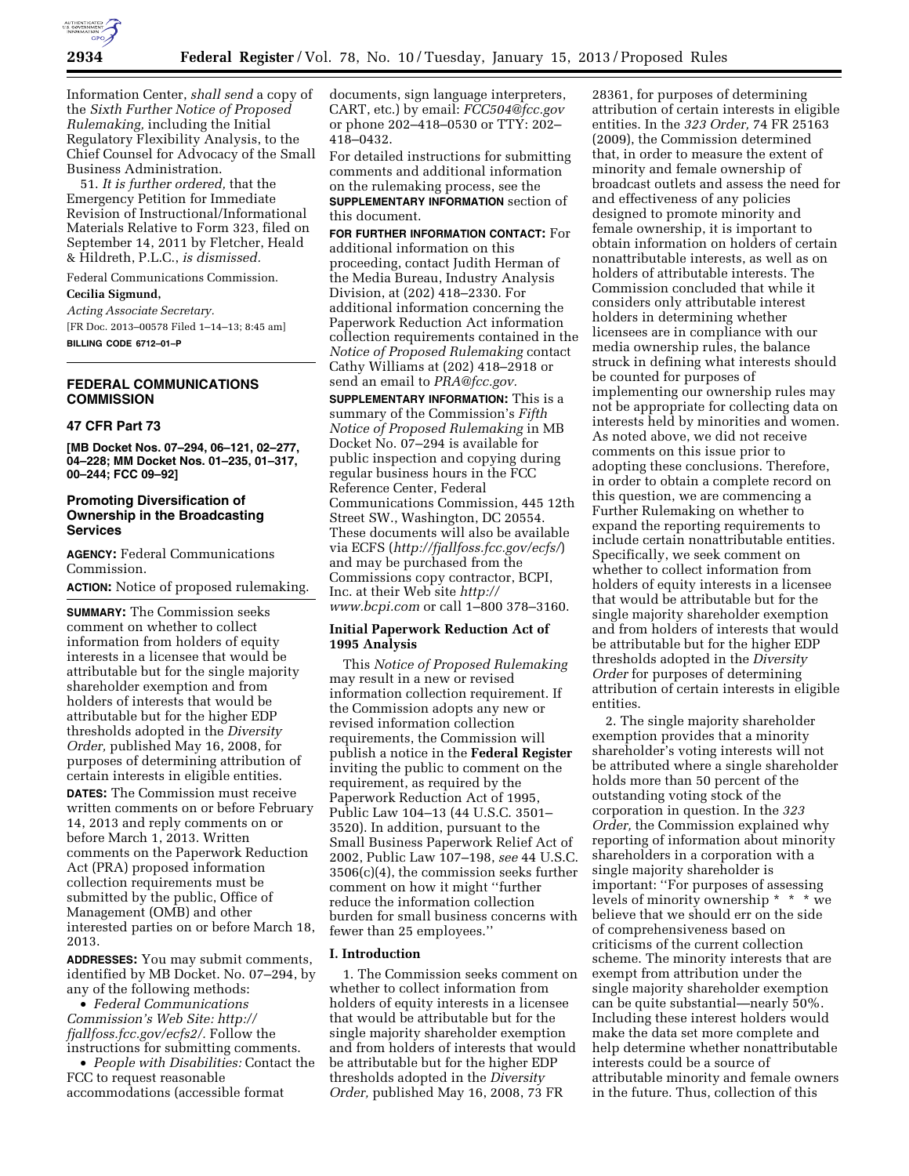

Information Center, *shall send* a copy of the *Sixth Further Notice of Proposed Rulemaking,* including the Initial Regulatory Flexibility Analysis, to the Chief Counsel for Advocacy of the Small Business Administration.

51. *It is further ordered,* that the Emergency Petition for Immediate Revision of Instructional/Informational Materials Relative to Form 323, filed on September 14, 2011 by Fletcher, Heald & Hildreth, P.L.C., *is dismissed.* 

Federal Communications Commission.

**Cecilia Sigmund,** 

*Acting Associate Secretary.*  [FR Doc. 2013–00578 Filed 1–14–13; 8:45 am] **BILLING CODE 6712–01–P** 

## **FEDERAL COMMUNICATIONS COMMISSION**

#### **47 CFR Part 73**

**[MB Docket Nos. 07–294, 06–121, 02–277, 04–228; MM Docket Nos. 01–235, 01–317, 00–244; FCC 09–92]** 

## **Promoting Diversification of Ownership in the Broadcasting Services**

**AGENCY:** Federal Communications Commission.

**ACTION:** Notice of proposed rulemaking.

**SUMMARY:** The Commission seeks comment on whether to collect information from holders of equity interests in a licensee that would be attributable but for the single majority shareholder exemption and from holders of interests that would be attributable but for the higher EDP thresholds adopted in the *Diversity Order,* published May 16, 2008, for purposes of determining attribution of certain interests in eligible entities. **DATES:** The Commission must receive written comments on or before February 14, 2013 and reply comments on or before March 1, 2013. Written comments on the Paperwork Reduction Act (PRA) proposed information collection requirements must be submitted by the public, Office of Management (OMB) and other interested parties on or before March 18, 2013.

**ADDRESSES:** You may submit comments, identified by MB Docket. No. 07–294, by any of the following methods:

• *Federal Communications Commission's Web Site: [http://](http://fjallfoss.fcc.gov/ecfs2/)  [fjallfoss.fcc.gov/ecfs2/.](http://fjallfoss.fcc.gov/ecfs2/)* Follow the instructions for submitting comments.

• *People with Disabilities:* Contact the FCC to request reasonable accommodations (accessible format

documents, sign language interpreters, CART, etc.) by email: *[FCC504@fcc.gov](mailto:FCC504@fcc.gov)*  or phone 202–418–0530 or TTY: 202– 418–0432.

For detailed instructions for submitting comments and additional information on the rulemaking process, see the **SUPPLEMENTARY INFORMATION** section of this document.

**FOR FURTHER INFORMATION CONTACT:** For additional information on this proceeding, contact Judith Herman of the Media Bureau, Industry Analysis Division, at (202) 418–2330. For additional information concerning the Paperwork Reduction Act information collection requirements contained in the *Notice of Proposed Rulemaking* contact Cathy Williams at (202) 418–2918 or send an email to *[PRA@fcc.gov.](mailto:PRA@fcc.gov)* 

**SUPPLEMENTARY INFORMATION:** This is a summary of the Commission's *Fifth Notice of Proposed Rulemaking* in MB Docket No. 07–294 is available for public inspection and copying during regular business hours in the FCC Reference Center, Federal Communications Commission, 445 12th Street SW., Washington, DC 20554. These documents will also be available via ECFS (*<http://fjallfoss.fcc.gov/ecfs/>*) and may be purchased from the Commissions copy contractor, BCPI, Inc. at their Web site *[http://](http://www.bcpi.com) [www.bcpi.com](http://www.bcpi.com)* or call 1–800 378–3160.

### **Initial Paperwork Reduction Act of 1995 Analysis**

This *Notice of Proposed Rulemaking*  may result in a new or revised information collection requirement. If the Commission adopts any new or revised information collection requirements, the Commission will publish a notice in the **Federal Register**  inviting the public to comment on the requirement, as required by the Paperwork Reduction Act of 1995, Public Law 104–13 (44 U.S.C. 3501– 3520). In addition, pursuant to the Small Business Paperwork Relief Act of 2002, Public Law 107–198, *see* 44 U.S.C. 3506(c)(4), the commission seeks further comment on how it might ''further reduce the information collection burden for small business concerns with fewer than 25 employees.''

### **I. Introduction**

1. The Commission seeks comment on whether to collect information from holders of equity interests in a licensee that would be attributable but for the single majority shareholder exemption and from holders of interests that would be attributable but for the higher EDP thresholds adopted in the *Diversity Order,* published May 16, 2008, 73 FR

28361, for purposes of determining attribution of certain interests in eligible entities. In the *323 Order,* 74 FR 25163 (2009), the Commission determined that, in order to measure the extent of minority and female ownership of broadcast outlets and assess the need for and effectiveness of any policies designed to promote minority and female ownership, it is important to obtain information on holders of certain nonattributable interests, as well as on holders of attributable interests. The Commission concluded that while it considers only attributable interest holders in determining whether licensees are in compliance with our media ownership rules, the balance struck in defining what interests should be counted for purposes of implementing our ownership rules may not be appropriate for collecting data on interests held by minorities and women. As noted above, we did not receive comments on this issue prior to adopting these conclusions. Therefore, in order to obtain a complete record on this question, we are commencing a Further Rulemaking on whether to expand the reporting requirements to include certain nonattributable entities. Specifically, we seek comment on whether to collect information from holders of equity interests in a licensee that would be attributable but for the single majority shareholder exemption and from holders of interests that would be attributable but for the higher EDP thresholds adopted in the *Diversity Order* for purposes of determining attribution of certain interests in eligible entities.

2. The single majority shareholder exemption provides that a minority shareholder's voting interests will not be attributed where a single shareholder holds more than 50 percent of the outstanding voting stock of the corporation in question. In the *323 Order,* the Commission explained why reporting of information about minority shareholders in a corporation with a single majority shareholder is important: ''For purposes of assessing levels of minority ownership \* \* \* we believe that we should err on the side of comprehensiveness based on criticisms of the current collection scheme. The minority interests that are exempt from attribution under the single majority shareholder exemption can be quite substantial—nearly 50%. Including these interest holders would make the data set more complete and help determine whether nonattributable interests could be a source of attributable minority and female owners in the future. Thus, collection of this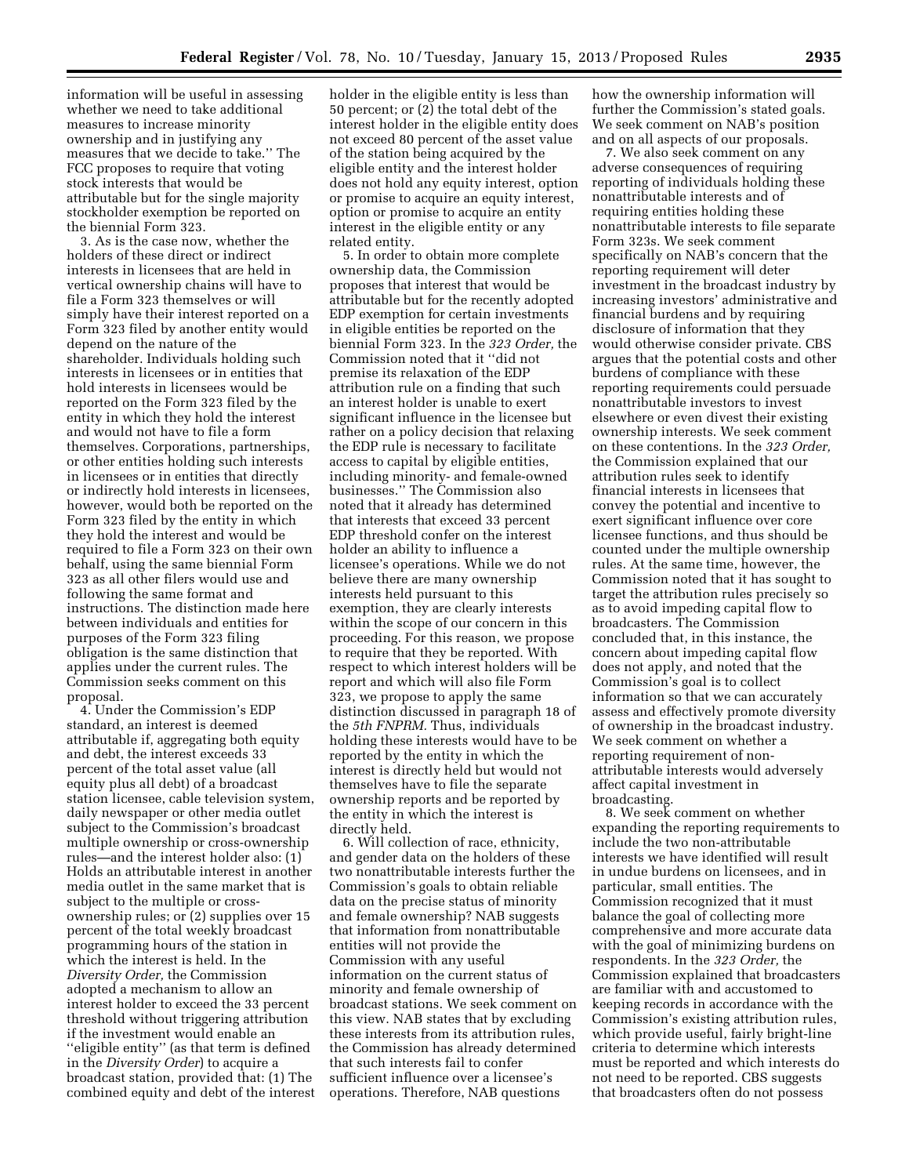information will be useful in assessing whether we need to take additional measures to increase minority ownership and in justifying any measures that we decide to take.'' The FCC proposes to require that voting stock interests that would be attributable but for the single majority stockholder exemption be reported on the biennial Form 323.

3. As is the case now, whether the holders of these direct or indirect interests in licensees that are held in vertical ownership chains will have to file a Form 323 themselves or will simply have their interest reported on a Form 323 filed by another entity would depend on the nature of the shareholder. Individuals holding such interests in licensees or in entities that hold interests in licensees would be reported on the Form 323 filed by the entity in which they hold the interest and would not have to file a form themselves. Corporations, partnerships, or other entities holding such interests in licensees or in entities that directly or indirectly hold interests in licensees, however, would both be reported on the Form 323 filed by the entity in which they hold the interest and would be required to file a Form 323 on their own behalf, using the same biennial Form 323 as all other filers would use and following the same format and instructions. The distinction made here between individuals and entities for purposes of the Form 323 filing obligation is the same distinction that applies under the current rules. The Commission seeks comment on this proposal.

4. Under the Commission's EDP standard, an interest is deemed attributable if, aggregating both equity and debt, the interest exceeds 33 percent of the total asset value (all equity plus all debt) of a broadcast station licensee, cable television system, daily newspaper or other media outlet subject to the Commission's broadcast multiple ownership or cross-ownership rules—and the interest holder also: (1) Holds an attributable interest in another media outlet in the same market that is subject to the multiple or crossownership rules; or (2) supplies over 15 percent of the total weekly broadcast programming hours of the station in which the interest is held. In the *Diversity Order,* the Commission adopted a mechanism to allow an interest holder to exceed the 33 percent threshold without triggering attribution if the investment would enable an ''eligible entity'' (as that term is defined in the *Diversity Order*) to acquire a broadcast station, provided that: (1) The combined equity and debt of the interest holder in the eligible entity is less than 50 percent; or (2) the total debt of the interest holder in the eligible entity does not exceed 80 percent of the asset value of the station being acquired by the eligible entity and the interest holder does not hold any equity interest, option or promise to acquire an equity interest, option or promise to acquire an entity interest in the eligible entity or any related entity.

5. In order to obtain more complete ownership data, the Commission proposes that interest that would be attributable but for the recently adopted EDP exemption for certain investments in eligible entities be reported on the biennial Form 323. In the *323 Order,* the Commission noted that it ''did not premise its relaxation of the EDP attribution rule on a finding that such an interest holder is unable to exert significant influence in the licensee but rather on a policy decision that relaxing the EDP rule is necessary to facilitate access to capital by eligible entities, including minority- and female-owned businesses.'' The Commission also noted that it already has determined that interests that exceed 33 percent EDP threshold confer on the interest holder an ability to influence a licensee's operations. While we do not believe there are many ownership interests held pursuant to this exemption, they are clearly interests within the scope of our concern in this proceeding. For this reason, we propose to require that they be reported. With respect to which interest holders will be report and which will also file Form 323, we propose to apply the same distinction discussed in paragraph 18 of the *5th FNPRM.* Thus, individuals holding these interests would have to be reported by the entity in which the interest is directly held but would not themselves have to file the separate ownership reports and be reported by the entity in which the interest is directly held.

6. Will collection of race, ethnicity, and gender data on the holders of these two nonattributable interests further the Commission's goals to obtain reliable data on the precise status of minority and female ownership? NAB suggests that information from nonattributable entities will not provide the Commission with any useful information on the current status of minority and female ownership of broadcast stations. We seek comment on this view. NAB states that by excluding these interests from its attribution rules, the Commission has already determined that such interests fail to confer sufficient influence over a licensee's operations. Therefore, NAB questions

how the ownership information will further the Commission's stated goals. We seek comment on NAB's position and on all aspects of our proposals.

7. We also seek comment on any adverse consequences of requiring reporting of individuals holding these nonattributable interests and of requiring entities holding these nonattributable interests to file separate Form 323s. We seek comment specifically on NAB's concern that the reporting requirement will deter investment in the broadcast industry by increasing investors' administrative and financial burdens and by requiring disclosure of information that they would otherwise consider private. CBS argues that the potential costs and other burdens of compliance with these reporting requirements could persuade nonattributable investors to invest elsewhere or even divest their existing ownership interests. We seek comment on these contentions. In the *323 Order,*  the Commission explained that our attribution rules seek to identify financial interests in licensees that convey the potential and incentive to exert significant influence over core licensee functions, and thus should be counted under the multiple ownership rules. At the same time, however, the Commission noted that it has sought to target the attribution rules precisely so as to avoid impeding capital flow to broadcasters. The Commission concluded that, in this instance, the concern about impeding capital flow does not apply, and noted that the Commission's goal is to collect information so that we can accurately assess and effectively promote diversity of ownership in the broadcast industry. We seek comment on whether a reporting requirement of nonattributable interests would adversely affect capital investment in broadcasting.

8. We seek comment on whether expanding the reporting requirements to include the two non-attributable interests we have identified will result in undue burdens on licensees, and in particular, small entities. The Commission recognized that it must balance the goal of collecting more comprehensive and more accurate data with the goal of minimizing burdens on respondents. In the *323 Order,* the Commission explained that broadcasters are familiar with and accustomed to keeping records in accordance with the Commission's existing attribution rules, which provide useful, fairly bright-line criteria to determine which interests must be reported and which interests do not need to be reported. CBS suggests that broadcasters often do not possess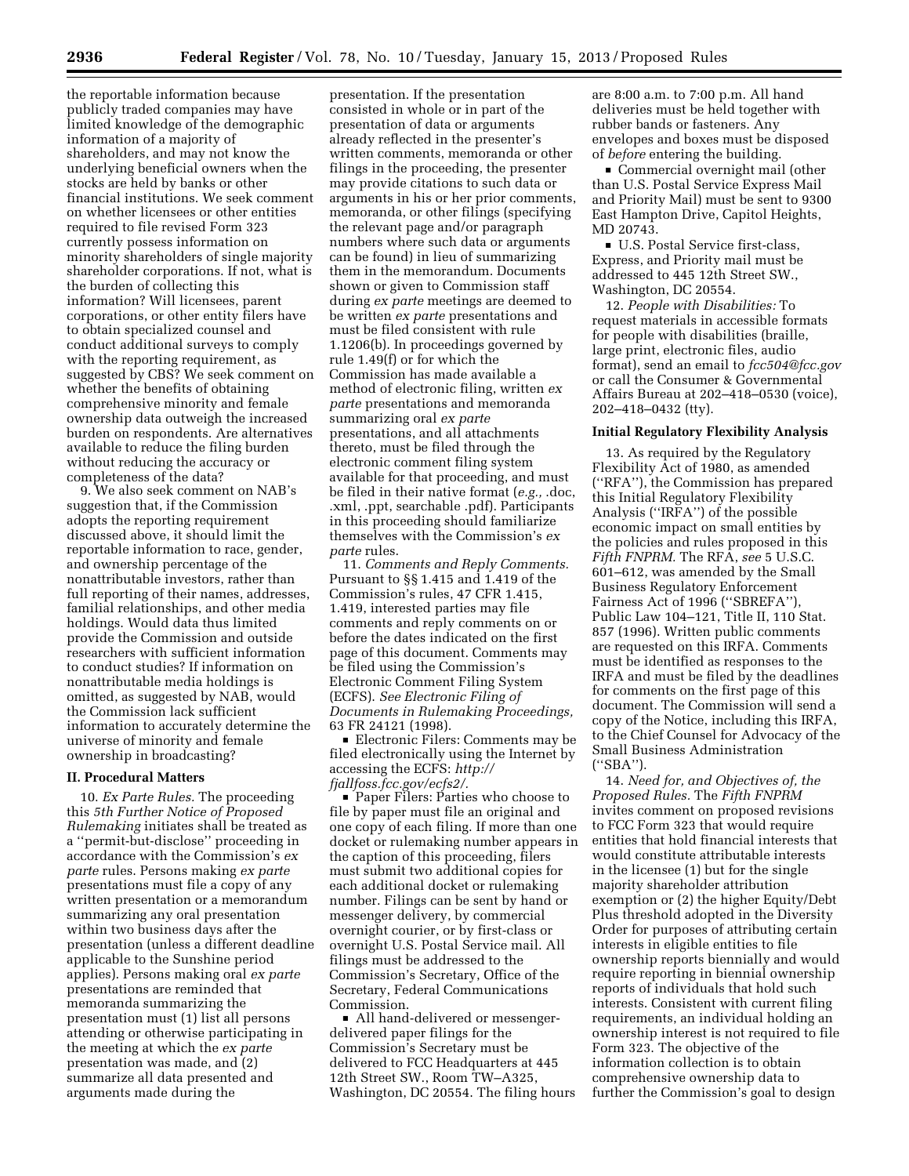the reportable information because publicly traded companies may have limited knowledge of the demographic information of a majority of shareholders, and may not know the underlying beneficial owners when the stocks are held by banks or other financial institutions. We seek comment on whether licensees or other entities required to file revised Form 323 currently possess information on minority shareholders of single majority shareholder corporations. If not, what is the burden of collecting this information? Will licensees, parent corporations, or other entity filers have to obtain specialized counsel and conduct additional surveys to comply with the reporting requirement, as suggested by CBS? We seek comment on whether the benefits of obtaining comprehensive minority and female ownership data outweigh the increased burden on respondents. Are alternatives available to reduce the filing burden without reducing the accuracy or completeness of the data?

9. We also seek comment on NAB's suggestion that, if the Commission adopts the reporting requirement discussed above, it should limit the reportable information to race, gender, and ownership percentage of the nonattributable investors, rather than full reporting of their names, addresses, familial relationships, and other media holdings. Would data thus limited provide the Commission and outside researchers with sufficient information to conduct studies? If information on nonattributable media holdings is omitted, as suggested by NAB, would the Commission lack sufficient information to accurately determine the universe of minority and female ownership in broadcasting?

#### **II. Procedural Matters**

10. *Ex Parte Rules.* The proceeding this *5th Further Notice of Proposed Rulemaking* initiates shall be treated as a ''permit-but-disclose'' proceeding in accordance with the Commission's *ex parte* rules. Persons making *ex parte*  presentations must file a copy of any written presentation or a memorandum summarizing any oral presentation within two business days after the presentation (unless a different deadline applicable to the Sunshine period applies). Persons making oral *ex parte*  presentations are reminded that memoranda summarizing the presentation must (1) list all persons attending or otherwise participating in the meeting at which the *ex parte*  presentation was made, and (2) summarize all data presented and arguments made during the

presentation. If the presentation consisted in whole or in part of the presentation of data or arguments already reflected in the presenter's written comments, memoranda or other filings in the proceeding, the presenter may provide citations to such data or arguments in his or her prior comments, memoranda, or other filings (specifying the relevant page and/or paragraph numbers where such data or arguments can be found) in lieu of summarizing them in the memorandum. Documents shown or given to Commission staff during *ex parte* meetings are deemed to be written *ex parte* presentations and must be filed consistent with rule 1.1206(b). In proceedings governed by rule 1.49(f) or for which the Commission has made available a method of electronic filing, written *ex parte* presentations and memoranda summarizing oral *ex parte*  presentations, and all attachments thereto, must be filed through the electronic comment filing system available for that proceeding, and must be filed in their native format (*e.g.,* .doc, .xml, .ppt, searchable .pdf). Participants in this proceeding should familiarize themselves with the Commission's *ex parte* rules.

11. *Comments and Reply Comments.*  Pursuant to §§ 1.415 and 1.419 of the Commission's rules, 47 CFR 1.415, 1.419, interested parties may file comments and reply comments on or before the dates indicated on the first page of this document. Comments may be filed using the Commission's Electronic Comment Filing System (ECFS). *See Electronic Filing of Documents in Rulemaking Proceedings,*  63 FR 24121 (1998).

■ Electronic Filers: Comments may be filed electronically using the Internet by accessing the ECFS: *[http://](http://fjallfoss.fcc.gov/ecfs2/)  [fjallfoss.fcc.gov/ecfs2/.](http://fjallfoss.fcc.gov/ecfs2/)* 

■ Paper Filers: Parties who choose to file by paper must file an original and one copy of each filing. If more than one docket or rulemaking number appears in the caption of this proceeding, filers must submit two additional copies for each additional docket or rulemaking number. Filings can be sent by hand or messenger delivery, by commercial overnight courier, or by first-class or overnight U.S. Postal Service mail. All filings must be addressed to the Commission's Secretary, Office of the Secretary, Federal Communications Commission.

• All hand-delivered or messengerdelivered paper filings for the Commission's Secretary must be delivered to FCC Headquarters at 445 12th Street SW., Room TW–A325, Washington, DC 20554. The filing hours are 8:00 a.m. to 7:00 p.m. All hand deliveries must be held together with rubber bands or fasteners. Any envelopes and boxes must be disposed of *before* entering the building.

Gommercial overnight mail (other than U.S. Postal Service Express Mail and Priority Mail) must be sent to 9300 East Hampton Drive, Capitol Heights, MD 20743.

■ U.S. Postal Service first-class, Express, and Priority mail must be addressed to 445 12th Street SW., Washington, DC 20554.

12. *People with Disabilities:* To request materials in accessible formats for people with disabilities (braille, large print, electronic files, audio format), send an email to *[fcc504@fcc.gov](mailto:fcc504@fcc.gov)*  or call the Consumer & Governmental Affairs Bureau at 202–418–0530 (voice), 202–418–0432 (tty).

### **Initial Regulatory Flexibility Analysis**

13. As required by the Regulatory Flexibility Act of 1980, as amended (''RFA''), the Commission has prepared this Initial Regulatory Flexibility Analysis (''IRFA'') of the possible economic impact on small entities by the policies and rules proposed in this *Fifth FNPRM.* The RFA, *see* 5 U.S.C. 601–612, was amended by the Small Business Regulatory Enforcement Fairness Act of 1996 ("SBREFA"), Public Law 104–121, Title II, 110 Stat. 857 (1996). Written public comments are requested on this IRFA. Comments must be identified as responses to the IRFA and must be filed by the deadlines for comments on the first page of this document. The Commission will send a copy of the Notice, including this IRFA, to the Chief Counsel for Advocacy of the Small Business Administration (''SBA'').

14. *Need for, and Objectives of, the Proposed Rules.* The *Fifth FNPRM*  invites comment on proposed revisions to FCC Form 323 that would require entities that hold financial interests that would constitute attributable interests in the licensee (1) but for the single majority shareholder attribution exemption or (2) the higher Equity/Debt Plus threshold adopted in the Diversity Order for purposes of attributing certain interests in eligible entities to file ownership reports biennially and would require reporting in biennial ownership reports of individuals that hold such interests. Consistent with current filing requirements, an individual holding an ownership interest is not required to file Form 323. The objective of the information collection is to obtain comprehensive ownership data to further the Commission's goal to design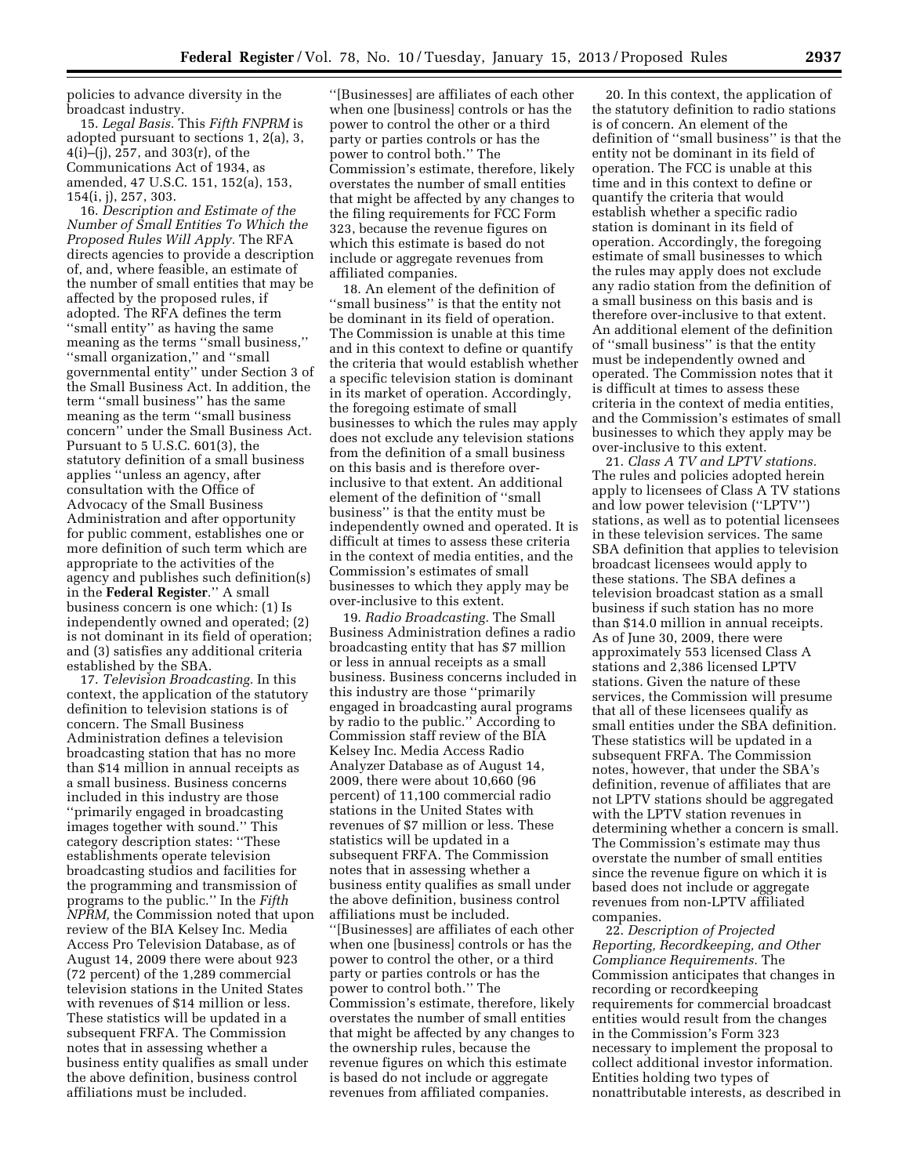policies to advance diversity in the broadcast industry.

15. *Legal Basis.* This *Fifth FNPRM* is adopted pursuant to sections 1, 2(a), 3, 4(i)–(j), 257, and 303(r), of the Communications Act of 1934, as amended, 47 U.S.C. 151, 152(a), 153, 154(i, j), 257, 303.

16. *Description and Estimate of the Number of Small Entities To Which the Proposed Rules Will Apply.* The RFA directs agencies to provide a description of, and, where feasible, an estimate of the number of small entities that may be affected by the proposed rules, if adopted. The RFA defines the term ''small entity'' as having the same meaning as the terms ''small business,'' ''small organization,'' and ''small governmental entity'' under Section 3 of the Small Business Act. In addition, the term ''small business'' has the same meaning as the term ''small business concern'' under the Small Business Act. Pursuant to 5 U.S.C. 601(3), the statutory definition of a small business applies ''unless an agency, after consultation with the Office of Advocacy of the Small Business Administration and after opportunity for public comment, establishes one or more definition of such term which are appropriate to the activities of the agency and publishes such definition(s) in the **Federal Register**.'' A small business concern is one which: (1) Is independently owned and operated; (2) is not dominant in its field of operation; and (3) satisfies any additional criteria established by the SBA.

17. *Television Broadcasting.* In this context, the application of the statutory definition to television stations is of concern. The Small Business Administration defines a television broadcasting station that has no more than \$14 million in annual receipts as a small business. Business concerns included in this industry are those ''primarily engaged in broadcasting images together with sound.'' This category description states: ''These establishments operate television broadcasting studios and facilities for the programming and transmission of programs to the public.'' In the *Fifth NPRM,* the Commission noted that upon review of the BIA Kelsey Inc. Media Access Pro Television Database, as of August 14, 2009 there were about 923 (72 percent) of the 1,289 commercial television stations in the United States with revenues of \$14 million or less. These statistics will be updated in a subsequent FRFA. The Commission notes that in assessing whether a business entity qualifies as small under the above definition, business control affiliations must be included.

''[Businesses] are affiliates of each other when one [business] controls or has the power to control the other or a third party or parties controls or has the power to control both.'' The Commission's estimate, therefore, likely overstates the number of small entities that might be affected by any changes to the filing requirements for FCC Form 323, because the revenue figures on which this estimate is based do not include or aggregate revenues from affiliated companies.

18. An element of the definition of ''small business'' is that the entity not be dominant in its field of operation. The Commission is unable at this time and in this context to define or quantify the criteria that would establish whether a specific television station is dominant in its market of operation. Accordingly, the foregoing estimate of small businesses to which the rules may apply does not exclude any television stations from the definition of a small business on this basis and is therefore overinclusive to that extent. An additional element of the definition of ''small business'' is that the entity must be independently owned and operated. It is difficult at times to assess these criteria in the context of media entities, and the Commission's estimates of small businesses to which they apply may be over-inclusive to this extent.

19. *Radio Broadcasting.* The Small Business Administration defines a radio broadcasting entity that has \$7 million or less in annual receipts as a small business. Business concerns included in this industry are those ''primarily engaged in broadcasting aural programs by radio to the public.'' According to Commission staff review of the BIA Kelsey Inc. Media Access Radio Analyzer Database as of August 14, 2009, there were about 10,660 (96 percent) of 11,100 commercial radio stations in the United States with revenues of \$7 million or less. These statistics will be updated in a subsequent FRFA. The Commission notes that in assessing whether a business entity qualifies as small under the above definition, business control affiliations must be included. ''[Businesses] are affiliates of each other when one [business] controls or has the power to control the other, or a third party or parties controls or has the power to control both.'' The Commission's estimate, therefore, likely overstates the number of small entities that might be affected by any changes to the ownership rules, because the revenue figures on which this estimate is based do not include or aggregate revenues from affiliated companies.

20. In this context, the application of the statutory definition to radio stations is of concern. An element of the definition of ''small business'' is that the entity not be dominant in its field of operation. The FCC is unable at this time and in this context to define or quantify the criteria that would establish whether a specific radio station is dominant in its field of operation. Accordingly, the foregoing estimate of small businesses to which the rules may apply does not exclude any radio station from the definition of a small business on this basis and is therefore over-inclusive to that extent. An additional element of the definition of ''small business'' is that the entity must be independently owned and operated. The Commission notes that it is difficult at times to assess these criteria in the context of media entities, and the Commission's estimates of small businesses to which they apply may be over-inclusive to this extent.

21. *Class A TV and LPTV stations.*  The rules and policies adopted herein apply to licensees of Class A TV stations and low power television (''LPTV'') stations, as well as to potential licensees in these television services. The same SBA definition that applies to television broadcast licensees would apply to these stations. The SBA defines a television broadcast station as a small business if such station has no more than \$14.0 million in annual receipts. As of June 30, 2009, there were approximately 553 licensed Class A stations and 2,386 licensed LPTV stations. Given the nature of these services, the Commission will presume that all of these licensees qualify as small entities under the SBA definition. These statistics will be updated in a subsequent FRFA. The Commission notes, however, that under the SBA's definition, revenue of affiliates that are not LPTV stations should be aggregated with the LPTV station revenues in determining whether a concern is small. The Commission's estimate may thus overstate the number of small entities since the revenue figure on which it is based does not include or aggregate revenues from non-LPTV affiliated companies.

22. *Description of Projected Reporting, Recordkeeping, and Other Compliance Requirements.* The Commission anticipates that changes in recording or recordkeeping requirements for commercial broadcast entities would result from the changes in the Commission's Form 323 necessary to implement the proposal to collect additional investor information. Entities holding two types of nonattributable interests, as described in